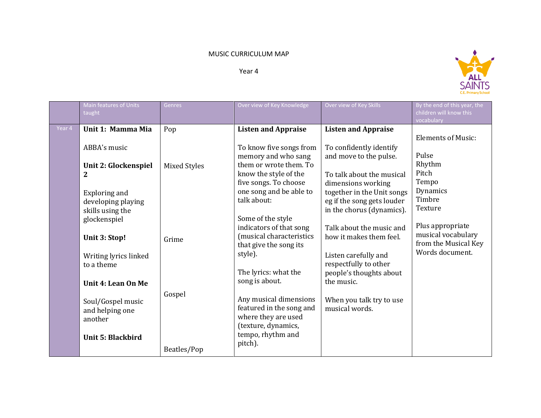## MUSIC CURRICULUM MAP

Year 4



|        | Main features of Units               | Genres       | Over view of Key Knowledge                          | Over view of Key Skills                             | By the end of this year, the          |
|--------|--------------------------------------|--------------|-----------------------------------------------------|-----------------------------------------------------|---------------------------------------|
|        | taught                               |              |                                                     |                                                     | children will know this<br>vocabulary |
| Year 4 | Unit 1: Mamma Mia                    | Pop          | <b>Listen and Appraise</b>                          | <b>Listen and Appraise</b>                          |                                       |
|        |                                      |              |                                                     |                                                     | <b>Elements of Music:</b>             |
|        | ABBA's music                         |              | To know five songs from                             | To confidently identify                             |                                       |
|        |                                      |              | memory and who sang                                 | and move to the pulse.                              | Pulse<br>Rhythm                       |
|        | Unit 2: Glockenspiel                 | Mixed Styles | them or wrote them. To<br>know the style of the     | To talk about the musical                           | Pitch                                 |
|        | $\mathbf{2}$                         |              | five songs. To choose                               | dimensions working                                  | Tempo                                 |
|        | Exploring and                        |              | one song and be able to                             | together in the Unit songs                          | Dynamics                              |
|        | developing playing                   |              | talk about:                                         | eg if the song gets louder                          | Timbre                                |
|        | skills using the                     |              |                                                     | in the chorus (dynamics).                           | Texture                               |
|        | glockenspiel                         |              | Some of the style                                   |                                                     | Plus appropriate                      |
|        |                                      |              | indicators of that song<br>(musical characteristics | Talk about the music and<br>how it makes them feel. | musical vocabulary                    |
|        | Unit 3: Stop!                        | Grime        | that give the song its                              |                                                     | from the Musical Key                  |
|        | Writing lyrics linked                |              | style).                                             | Listen carefully and                                | Words document.                       |
|        | to a theme                           |              |                                                     | respectfully to other                               |                                       |
|        |                                      |              | The lyrics: what the                                | people's thoughts about                             |                                       |
|        | Unit 4: Lean On Me                   |              | song is about.                                      | the music.                                          |                                       |
|        |                                      | Gospel       | Any musical dimensions                              |                                                     |                                       |
|        | Soul/Gospel music<br>and helping one |              | featured in the song and                            | When you talk try to use<br>musical words.          |                                       |
|        | another                              |              | where they are used                                 |                                                     |                                       |
|        |                                      |              | (texture, dynamics,                                 |                                                     |                                       |
|        | <b>Unit 5: Blackbird</b>             |              | tempo, rhythm and                                   |                                                     |                                       |
|        |                                      | Beatles/Pop  | pitch).                                             |                                                     |                                       |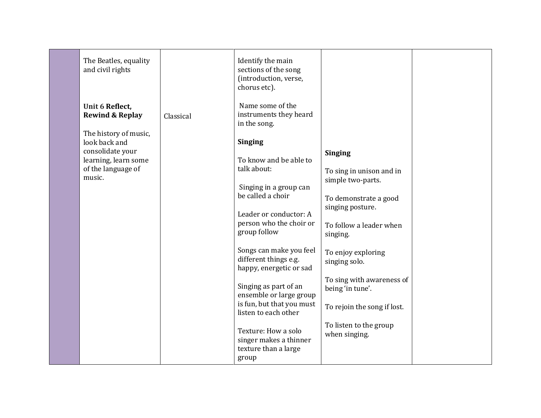| The Beatles, equality<br>and civil rights                                                                                                                           |           | Identify the main<br>sections of the song<br>(introduction, verse,<br>chorus etc).                                                                                                                                                                                                                                                                                                                                                                                                                                  |                                                                                                                                                                                                                                                                                                                       |  |
|---------------------------------------------------------------------------------------------------------------------------------------------------------------------|-----------|---------------------------------------------------------------------------------------------------------------------------------------------------------------------------------------------------------------------------------------------------------------------------------------------------------------------------------------------------------------------------------------------------------------------------------------------------------------------------------------------------------------------|-----------------------------------------------------------------------------------------------------------------------------------------------------------------------------------------------------------------------------------------------------------------------------------------------------------------------|--|
| Unit 6 Reflect,<br><b>Rewind &amp; Replay</b><br>The history of music,<br>look back and<br>consolidate your<br>learning, learn some<br>of the language of<br>music. | Classical | Name some of the<br>instruments they heard<br>in the song.<br><b>Singing</b><br>To know and be able to<br>talk about:<br>Singing in a group can<br>be called a choir<br>Leader or conductor: A<br>person who the choir or<br>group follow<br>Songs can make you feel<br>different things e.g.<br>happy, energetic or sad<br>Singing as part of an<br>ensemble or large group<br>is fun, but that you must<br>listen to each other<br>Texture: How a solo<br>singer makes a thinner<br>texture than a large<br>group | <b>Singing</b><br>To sing in unison and in<br>simple two-parts.<br>To demonstrate a good<br>singing posture.<br>To follow a leader when<br>singing.<br>To enjoy exploring<br>singing solo.<br>To sing with awareness of<br>being 'in tune'.<br>To rejoin the song if lost.<br>To listen to the group<br>when singing. |  |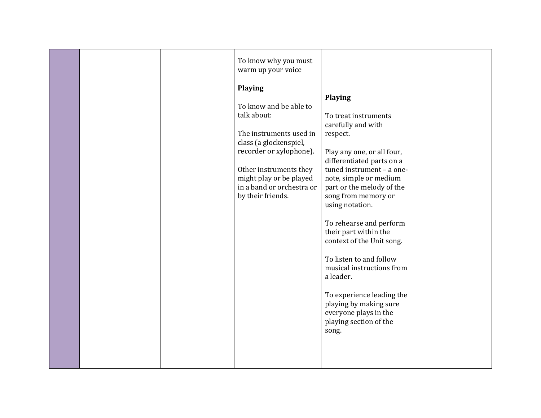|  | To know why you must<br>warm up your voice |                                                 |  |
|--|--------------------------------------------|-------------------------------------------------|--|
|  | Playing                                    |                                                 |  |
|  |                                            | <b>Playing</b>                                  |  |
|  | To know and be able to                     |                                                 |  |
|  | talk about:                                | To treat instruments                            |  |
|  |                                            | carefully and with                              |  |
|  | The instruments used in                    | respect.                                        |  |
|  | class (a glockenspiel,                     |                                                 |  |
|  | recorder or xylophone).                    | Play any one, or all four,                      |  |
|  |                                            | differentiated parts on a                       |  |
|  | Other instruments they                     | tuned instrument - a one-                       |  |
|  | might play or be played                    | note, simple or medium                          |  |
|  | in a band or orchestra or                  | part or the melody of the                       |  |
|  | by their friends.                          | song from memory or                             |  |
|  |                                            | using notation.                                 |  |
|  |                                            |                                                 |  |
|  |                                            | To rehearse and perform                         |  |
|  |                                            | their part within the                           |  |
|  |                                            | context of the Unit song.                       |  |
|  |                                            |                                                 |  |
|  |                                            | To listen to and follow                         |  |
|  |                                            | musical instructions from                       |  |
|  |                                            | a leader.                                       |  |
|  |                                            |                                                 |  |
|  |                                            | To experience leading the                       |  |
|  |                                            | playing by making sure                          |  |
|  |                                            | everyone plays in the<br>playing section of the |  |
|  |                                            | song.                                           |  |
|  |                                            |                                                 |  |
|  |                                            |                                                 |  |
|  |                                            |                                                 |  |
|  |                                            |                                                 |  |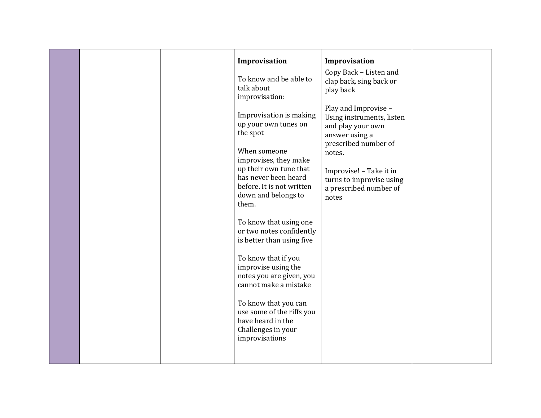|  | Improvisation                                                                                                  | Improvisation<br>Copy Back - Listen and                                                  |  |
|--|----------------------------------------------------------------------------------------------------------------|------------------------------------------------------------------------------------------|--|
|  | To know and be able to<br>talk about<br>improvisation:                                                         | clap back, sing back or<br>play back                                                     |  |
|  | Improvisation is making<br>up your own tunes on<br>the spot                                                    | Play and Improvise -<br>Using instruments, listen<br>and play your own<br>answer using a |  |
|  | When someone<br>improvises, they make                                                                          | prescribed number of<br>notes.                                                           |  |
|  | up their own tune that<br>has never been heard<br>before. It is not written<br>down and belongs to<br>them.    | Improvise! - Take it in<br>turns to improvise using<br>a prescribed number of<br>notes   |  |
|  | To know that using one<br>or two notes confidently<br>is better than using five                                |                                                                                          |  |
|  | To know that if you<br>improvise using the<br>notes you are given, you<br>cannot make a mistake                |                                                                                          |  |
|  | To know that you can<br>use some of the riffs you<br>have heard in the<br>Challenges in your<br>improvisations |                                                                                          |  |
|  |                                                                                                                |                                                                                          |  |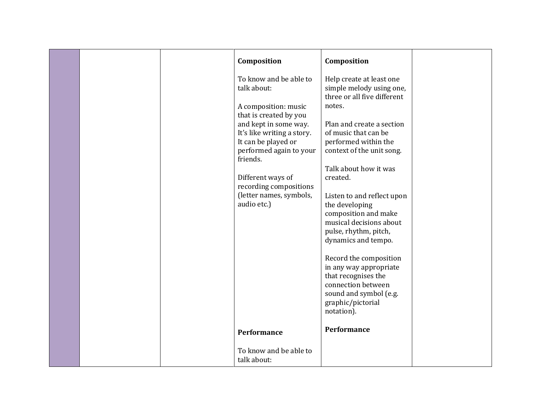|  |                                                                                                                                                                                                                                                                                                                      | Composition                                                                                                                                                                                                                                                                                                                                                                                     |  |
|--|----------------------------------------------------------------------------------------------------------------------------------------------------------------------------------------------------------------------------------------------------------------------------------------------------------------------|-------------------------------------------------------------------------------------------------------------------------------------------------------------------------------------------------------------------------------------------------------------------------------------------------------------------------------------------------------------------------------------------------|--|
|  | Composition<br>To know and be able to<br>talk about:<br>A composition: music<br>that is created by you<br>and kept in some way.<br>It's like writing a story.<br>It can be played or<br>performed again to your<br>friends.<br>Different ways of<br>recording compositions<br>(letter names, symbols,<br>audio etc.) | Help create at least one<br>simple melody using one,<br>three or all five different<br>notes.<br>Plan and create a section<br>of music that can be<br>performed within the<br>context of the unit song.<br>Talk about how it was<br>created.<br>Listen to and reflect upon<br>the developing<br>composition and make<br>musical decisions about<br>pulse, rhythm, pitch,<br>dynamics and tempo. |  |
|  | Performance                                                                                                                                                                                                                                                                                                          | Record the composition<br>in any way appropriate<br>that recognises the<br>connection between<br>sound and symbol (e.g.<br>graphic/pictorial<br>notation).<br>Performance                                                                                                                                                                                                                       |  |
|  | To know and be able to<br>talk about:                                                                                                                                                                                                                                                                                |                                                                                                                                                                                                                                                                                                                                                                                                 |  |